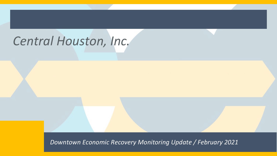# *Central Houston, Inc.*

*Downtown Economic Recovery Monitoring Update / February 2021*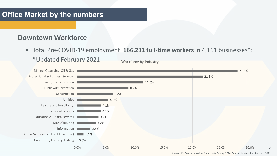#### **Downtown Workforce**

■ Total Pre-COVID-19 employment: 166,231 full-time workers in 4,161 businesses<sup>\*</sup>: \*Updated February 2021 Workforce by Industry



Source: U.S. Census, American Community Survey, 2020; Central Houston, Inc., February 2021

 $\overline{\phantom{a}}$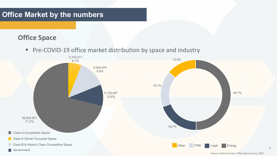#### **Office Space**

**Pre-COVID-19 office market distribution by space and industry** 

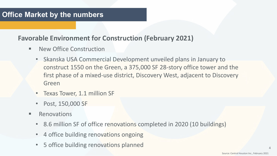#### **Favorable Environment for Construction (February 2021)**

- New Office Construction
	- Skanska USA Commercial Development unveiled plans in January to construct 1550 on the Green, a 375,000 SF 28-story office tower and the first phase of a mixed-use district, Discovery West, adjacent to Discovery Green
	- Texas Tower, 1.1 million SF
	- Post, 150,000 SF
- **E** Renovations
	- 8.6 million SF of office renovations completed in 2020 (10 buildings)
	- 4 office building renovations ongoing
	- 5 office building renovations planned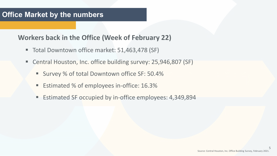#### **Workers back in the Office (Week of February 22)**

- Total Downtown office market: 51,463,478 (SF)
- Central Houston, Inc. office building survey: 25,946,807 (SF)
	- Survey % of total Downtown office SF: 50.4%
	- **Estimated % of employees in-office: 16.3%**
	- **Estimated SF occupied by in-office employees: 4,349,894**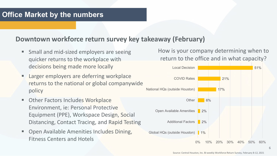#### **Downtown workforce return survey key takeaway (February)**

- Small and mid-sized employers are seeing quicker returns to the workplace with decisions being made more locally
- Larger employers are deferring workplace returns to the national or global companywide policy
- Other Factors Includes Workplace Environment, ie: Personal Protective Equipment (PPE), Workspace Design, Social Distancing, Contact Tracing, and Rapid Testing
- Open Available Amenities Includes Dining, Fitness Centers and Hotels

How is your company determining when to return to the office and in what capacity?



Source: Central Houston, Inc. Bi-weekly Workforce Return Survey, February 8-12, 2021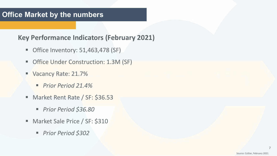#### **Key Performance Indicators (February 2021)**

- Office Inventory: 51,463,478 (SF)
- Office Under Construction: 1.3M (SF)
- Vacancy Rate: 21.7%
	- *Prior Period 21.4%*
- Market Rent Rate / SF: \$36.53
	- *Prior Period \$36.80*
- **Market Sale Price / SF: \$310** 
	- *Prior Period \$302*

7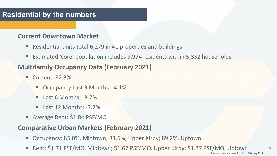# **Residential by the numbers**

#### **Current Downtown Market**

- Residential units total 6,279 in 41 properties and buildings
- Estimated 'core' population includes 9,974 residents within 5,832 households

# **Multifamily Occupancy Data (February 2021)**

- Current: 82.3%
	- Occupancy Last 3 Months: -4.1%
	- $\blacksquare$  Last 6 Months: -3.7%
	- $\blacksquare$  Last 12 Months: -7.7%
- Average Rent: \$1.84 PSF/MO

#### **Comparative Urban Markets (February 2021)**

- Occupancy: 85.0%, Midtown; 83.6%, Upper Kirby; 89.2%, Uptown
- Rent: \$1.71 PSF/MO, Midtown; \$1.67 PSF/MO, Upper Kirby; \$1.37 PSF/MO, Uptown

8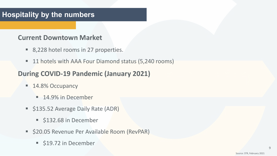# **Hospitality by the numbers**

#### **Current Downtown Market**

- 8,228 hotel rooms in 27 properties.
- 11 hotels with AAA Four Diamond status (5,240 rooms)

# **During COVID-19 Pandemic (January 2021)**

- **14.8% Occupancy** 
	- **14.9% in December**
- **Silam-S135.52 Average Daily Rate (ADR)** 
	- **5132.68 in December**
- **520.05 Revenue Per Available Room (RevPAR)** 
	- **S19.72 in December**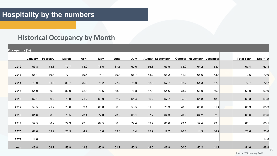# **Historical Occupancy by Month**

| Occupancy (%) |         |          |              |              |      |      |      |                         |      |      |                           |      |                   |         |
|---------------|---------|----------|--------------|--------------|------|------|------|-------------------------|------|------|---------------------------|------|-------------------|---------|
|               | January | February | <b>March</b> | <b>April</b> | May  | June | July | <b>August September</b> |      |      | October November December |      | <b>Total Year</b> | Dec YTD |
| 2012          | 63.8    | 73.6     | 77.7         | 73.2         | 76.6 | 67.5 | 60.6 | 56.6                    | 63.5 | 78.9 | 64.2                      | 53.4 | 67.4              | 67.4    |
| 2013          | 66.1    | 76.8     | 77.7         | 79.6         | 74.7 | 70.4 | 66.7 | 68.2                    | 68.2 | 81.1 | 65.6                      | 53.4 | 70.6              | 70.6    |
| 2014          | 70.0    | 81.8     | 80.7         | 76.8         | 78.2 | 77.2 | 75.0 | 62.9                    | 67.7 | 82.7 | 64.3                      | 57.0 | 72.7              | 72.7    |
| 2015          | 64.9    | 80.0     | 82.0         | 72.8         | 73.6 | 68.3 | 76.8 | 57.3                    | 64.6 | 78.7 | 66.0                      | 56.3 | 69.9              | 69.9    |
| 2016          | 62.1    | 69.2     | 73.0         | 71.7         | 63.9 | 62.7 | 61.4 | 56.2                    | 67.7 | 65.3 | 61.8                      | 48.9 | 63.3              | 63.3    |
| 2017          | 59.5    | 71.7     | 73.6         | 69.1         | 68.0 | 66.0 | 53.5 | 51.5                    | 76.3 | 78.6 | 65.6                      | 51.4 | 65.3              | 65.3    |
| 2018          | 61.6    | 68.0     | 76.5         | 73.4         | 72.0 | 73.9 | 65.1 | 57.7                    | 64.3 | 70.9 | 64.2                      | 52.5 | 66.6              | 66.6    |
| 2019          | 57.5    | 68.2     | 74.3         | 72.3         | 69.5 | 66.8 | 72.4 | 59.7                    | 61.6 | 73.1 | 57.4                      | 49.3 | 65.1              | 65.1    |
| 2020          | 62.0    | 69.2     | 26.5         | 4.2          | 10.6 | 13.3 | 13.4 | 15.9                    | 17.7 | 20.1 | 14.3                      | 14.9 | 23.6              | 23.6    |
| 2021          | 14.8    |          |              |              |      |      |      |                         |      |      |                           |      |                   | 14.8    |
|               |         |          |              |              |      |      |      |                         |      |      |                           |      |                   |         |
| Avg           | 48.8    | 68.7     | 58.9         | 49.9         | 50.9 | 51.7 | 50.3 | 44.6                    | 47.9 | 60.6 | 50.2                      | 41.7 | 51.6              | 48.8 10 |

Source: STR, January 2021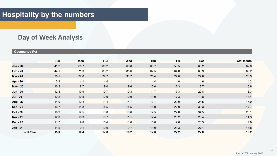#### **Day of Week Analysis**

#### **Occupancy (%)**

|                   | <b>Sun</b> | <b>Mon</b> | <b>Tue</b> | <b>Wed</b> | Thu  | Fri  | <b>Sat</b> | <b>Total Month</b> |
|-------------------|------------|------------|------------|------------|------|------|------------|--------------------|
| <b>Jan - 20</b>   | 41.2       | 65.7       | 80.2       | 69.8       | 60.7 | 53.5 | 63.2       | 62.0               |
| <b>Feb - 20</b>   | 44.1       | 71.3       | 83.2       | 85.6       | 67.5 | 64.0 | 68.9       | 69.2               |
| <b>Mar - 20</b>   | 20.1       | 27.0       | 27.7       | 31.7       | 25.4 | 27.0 | 27.6       | 26.5               |
| <b>Apr - 20</b>   | 3.9        | 4.1        | 4.4        | 4.1        | 4.4  | 4.0  | 4.6        | 4.2                |
| <b>May - 20</b>   | 10.2       | 8.7        | 9.0        | 9.6        | 10.0 | 12.3 | 13.7       | 10.6               |
| <b>Jun - 20</b>   | 12.3       | 10.9       | 10.7       | 10.8       | 11.7 | 17.3 | 20.8       | 13.3               |
| <b>Jul - 20</b>   | 12.2       | 10.8       | 10.9       | 10.9       | 11.9 | 17.3 | 19.8       | 13.4               |
| <b>Aug - 20</b>   | 14.0       | 12.4       | 11.4       | 14.7       | 13.7 | 20.0 | 24.5       | 15.9               |
| <b>Sep - 20</b>   | 16.7       | 11.8       | 14.5       | 14.5       | 15.0 | 22.9 | 30.3       | 17.7               |
| <b>Oct - 20</b>   | 16.9       | 12.5       | 13.0       | 13.6       | 17.5 | 27.8 | 34.5       | 20.1               |
| <b>Nov - 20</b>   | 12.0       | 10.3       | 10.7       | 11.1       | 12.4 | 20.2 | 25.4       | 14.3               |
| <b>Dec - 20</b>   | 11.7       | 9.8        | 10.4       | 11.0       | 16.8 | 19.6 | 26.3       | 14.9               |
| <b>Jan - 21</b>   | 11.5       | 9.1        | 10.0       | 9.7        | 11.0 | 21.3 | 27.1       | 14.8               |
| <b>Total Year</b> | 15.0       | 16.4       | 17.8       | 18.2       | 17.6 | 22.2 | 27.0       | 19.2               |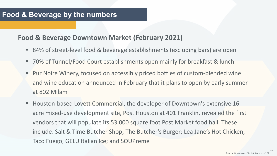#### **Food & Beverage by the numbers**

#### **Food & Beverage Downtown Market (February 2021)**

- 84% of street-level food & beverage establishments (excluding bars) are open
- 70% of Tunnel/Food Court establishments open mainly for breakfast & lunch
- Pur Noire Winery, focused on accessibly priced bottles of custom-blended wine and wine education announced in February that it plans to open by early summer at 802 Milam
- Houston-based Lovett Commercial, the developer of Downtown's extensive 16 acre mixed-use development site, Post Houston at 401 Franklin, revealed the first vendors that will populate its 53,000 square foot Post Market food hall. These include: Salt & Time Butcher Shop; The Butcher's Burger; Lea Jane's Hot Chicken; Taco Fuego; GELU Italian Ice; and SOUPreme